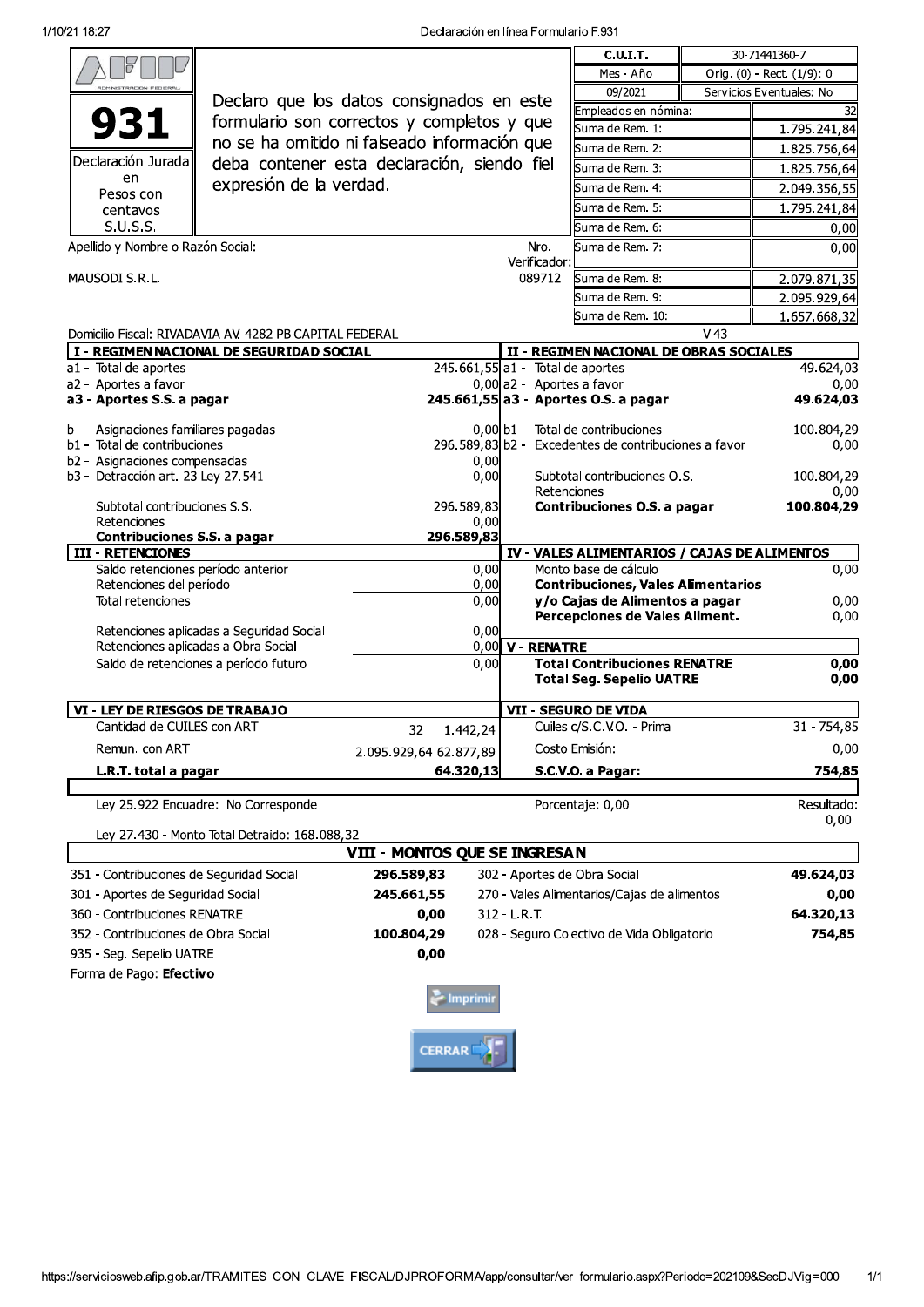|                                                                                 |                                                         |                                |                                                                 |                                             | <b>C.U.I.T.</b>                                          |                   | 30-71441360-7              |
|---------------------------------------------------------------------------------|---------------------------------------------------------|--------------------------------|-----------------------------------------------------------------|---------------------------------------------|----------------------------------------------------------|-------------------|----------------------------|
|                                                                                 |                                                         |                                |                                                                 |                                             | Mes - Año                                                |                   | Orig. (0) - Rect. (1/9): 0 |
|                                                                                 |                                                         |                                |                                                                 |                                             | 09/2021                                                  |                   | Servicios Eventuales: No   |
|                                                                                 | Declaro que los datos consignados en este               |                                |                                                                 |                                             | Empleados en nómina:                                     |                   | 32                         |
| 931<br>formulario son correctos y completos y que                               |                                                         |                                |                                                                 |                                             | Suma de Rem. 1:                                          |                   | 1.795.241,84               |
| no se ha omitido ni falseado información que                                    |                                                         |                                |                                                                 |                                             | Suma de Rem. 2:                                          |                   | 1.825.756,64               |
| Declaración Jurada<br>deba contener esta declaración, siendo fiel               |                                                         |                                |                                                                 |                                             | Suma de Rem. 3:                                          |                   | 1.825.756,64               |
| en<br>Pesos con                                                                 | expresión de la verdad.                                 |                                |                                                                 |                                             | Suma de Rem. 4:                                          |                   | 2.049.356,55               |
| centavos                                                                        |                                                         |                                |                                                                 |                                             | Suma de Rem. 5:                                          |                   | 1.795.241,84               |
| S.U.S.S.                                                                        |                                                         |                                |                                                                 |                                             | Suma de Rem. 6:                                          |                   | 0,00                       |
| Apellido y Nombre o Razón Social:                                               |                                                         |                                | Nro.                                                            | Suma de Rem. 7:                             |                                                          | 0,00              |                            |
|                                                                                 |                                                         |                                | Verificador:                                                    |                                             |                                                          |                   |                            |
| MAUSODI S.R.L.                                                                  |                                                         |                                | 089712                                                          | Suma de Rem. 8:                             |                                                          | 2.079.871,35      |                            |
|                                                                                 |                                                         |                                |                                                                 |                                             | Suma de Rem. 9:                                          |                   | 2.095.929,64               |
|                                                                                 |                                                         |                                |                                                                 |                                             | Suma de Rem. 10:                                         |                   | 1.657.668,32               |
|                                                                                 | Domicilio Fiscal: RIVADAVIA AV. 4282 PB CAPITAL FEDERAL |                                |                                                                 |                                             |                                                          | V <sub>43</sub>   |                            |
| I - REGIMEN NACIONAL DE SEGURIDAD SOCIAL                                        |                                                         |                                |                                                                 | II - REGIMEN NACIONAL DE OBRAS SOCIALES     |                                                          |                   |                            |
| a1 - Total de aportes<br>a2 - Aportes a favor                                   |                                                         |                                | $245.661,55$ a1 - Total de aportes<br>0,00 a2 - Aportes a favor |                                             |                                                          | 49.624,03<br>0,00 |                            |
| a3 - Aportes S.S. a pagar                                                       |                                                         |                                |                                                                 | 245.661,55 a3 - Aportes O.S. a pagar        |                                                          | 49.624,03         |                            |
|                                                                                 |                                                         |                                |                                                                 |                                             |                                                          |                   |                            |
| Asignaciones familiares pagadas<br>b -                                          |                                                         |                                |                                                                 |                                             | 0,00 b1 - Total de contribuciones                        |                   | 100.804,29                 |
| b1 - Total de contribuciones                                                    |                                                         |                                |                                                                 |                                             | 296.589,83 b2 - Excedentes de contribuciones a favor     |                   | 0,00                       |
| b2 - Asignaciones compensadas<br>b3 - Detracción art. 23 Ley 27.541             |                                                         | 0,00<br>0,00                   | Subtotal contribuciones O.S.<br>Retenciones                     |                                             |                                                          | 100.804,29        |                            |
|                                                                                 |                                                         |                                |                                                                 |                                             |                                                          | 0,00              |                            |
| Subtotal contribuciones S.S.                                                    |                                                         | 296.589,83                     |                                                                 | Contribuciones O.S. a pagar                 |                                                          |                   | 100.804,29                 |
| Retenciones                                                                     |                                                         | 296.589,83                     | 0,00                                                            |                                             |                                                          |                   |                            |
| Contribuciones S.S. a pagar<br><b>III - RETENCIONES</b>                         |                                                         |                                |                                                                 |                                             | IV - VALES ALIMENTARIOS / CAJAS DE ALIMENTOS             |                   |                            |
| Saldo retenciones período anterior                                              |                                                         |                                | 0,00                                                            | Monto base de cálculo                       |                                                          |                   | 0,00                       |
| Retenciones del período                                                         |                                                         |                                | 0,00                                                            |                                             | <b>Contribuciones, Vales Alimentarios</b>                |                   |                            |
| Total retenciones                                                               |                                                         |                                | 0,00                                                            |                                             | y/o Cajas de Alimentos a pagar                           |                   | 0,00                       |
|                                                                                 |                                                         |                                | 0,00                                                            |                                             | Percepciones de Vales Aliment.                           |                   | 0,00                       |
| Retenciones aplicadas a Seguridad Social<br>Retenciones aplicadas a Obra Social |                                                         |                                |                                                                 | $0,00$ V - RENATRE                          |                                                          |                   |                            |
| Saldo de retenciones a período futuro                                           |                                                         |                                | 0,00                                                            |                                             | <b>Total Contribuciones RENATRE</b>                      |                   | 0,00                       |
|                                                                                 |                                                         |                                |                                                                 |                                             | <b>Total Seg. Sepelio UATRE</b>                          |                   | 0,00                       |
|                                                                                 |                                                         |                                |                                                                 |                                             |                                                          |                   |                            |
| VI - LEY DE RIESGOS DE TRABAJO<br>Cantidad de CUILES con ART                    |                                                         |                                |                                                                 |                                             | <b>VII - SEGURO DE VIDA</b><br>Cuiles c/S.C.V.O. - Prima |                   | 31 - 754,85                |
|                                                                                 |                                                         | 32<br>1.442,24                 |                                                                 |                                             |                                                          |                   |                            |
| Remun. con ART                                                                  |                                                         | 2.095.929,64 62.877,89         |                                                                 |                                             | Costo Emisión:                                           |                   | 0,00                       |
| L.R.T. total a pagar                                                            |                                                         | 64.320,13                      |                                                                 |                                             | S.C.V.O. a Pagar:                                        |                   | 754,85                     |
|                                                                                 | Ley 25.922 Encuadre: No Corresponde                     |                                |                                                                 |                                             | Porcentaje: 0,00                                         |                   | Resultado:                 |
|                                                                                 |                                                         |                                |                                                                 |                                             |                                                          |                   | 0,00                       |
|                                                                                 | Ley 27.430 - Monto Total Detraido: 168.088,32           |                                |                                                                 |                                             |                                                          |                   |                            |
|                                                                                 |                                                         | VIII - MONTOS QUE SE INGRESA N |                                                                 |                                             |                                                          |                   |                            |
| 351 - Contribuciones de Seguridad Social<br>296.589,83                          |                                                         |                                |                                                                 |                                             | 302 - Aportes de Obra Social                             |                   | 49.624,03                  |
| 301 - Aportes de Seguridad Social                                               |                                                         | 245.661,55                     |                                                                 | 270 - Vales Alimentarios/Cajas de alimentos |                                                          | 0,00              |                            |
| 360 - Contribuciones RENATRE                                                    |                                                         | 0,00                           | $312 - L.R.T.$                                                  |                                             |                                                          |                   | 64.320,13                  |
| 352 - Contribuciones de Obra Social                                             |                                                         | 100.804,29                     |                                                                 | 028 - Seguro Colectivo de Vida Obligatorio  |                                                          |                   | 754,85                     |
| 935 - Seg. Sepelio UATRE                                                        |                                                         | 0,00                           |                                                                 |                                             |                                                          |                   |                            |
| Forma de Pago: Efectivo                                                         |                                                         |                                |                                                                 |                                             |                                                          |                   |                            |
|                                                                                 |                                                         |                                |                                                                 |                                             |                                                          |                   |                            |